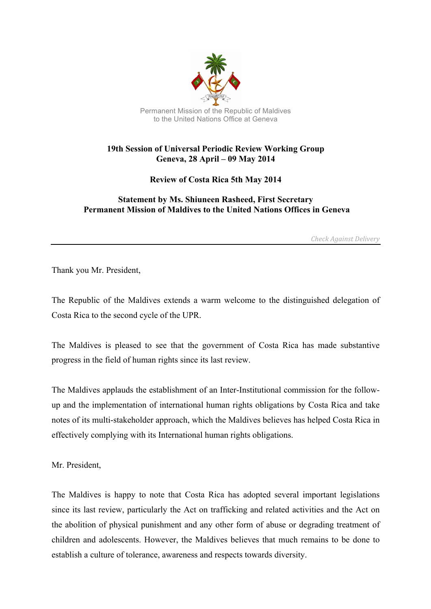

## **19th Session of Universal Periodic Review Working Group Geneva, 28 April – 09 May 2014**

**Review of Costa Rica 5th May 2014**

## **Statement by Ms. Shiuneen Rasheed, First Secretary Permanent Mission of Maldives to the United Nations Offices in Geneva**

*Check Against Delivery*

Thank you Mr. President,

The Republic of the Maldives extends a warm welcome to the distinguished delegation of Costa Rica to the second cycle of the UPR.

The Maldives is pleased to see that the government of Costa Rica has made substantive progress in the field of human rights since its last review.

The Maldives applauds the establishment of an Inter-Institutional commission for the followup and the implementation of international human rights obligations by Costa Rica and take notes of its multi-stakeholder approach, which the Maldives believes has helped Costa Rica in effectively complying with its International human rights obligations.

Mr. President,

The Maldives is happy to note that Costa Rica has adopted several important legislations since its last review, particularly the Act on trafficking and related activities and the Act on the abolition of physical punishment and any other form of abuse or degrading treatment of children and adolescents. However, the Maldives believes that much remains to be done to establish a culture of tolerance, awareness and respects towards diversity.